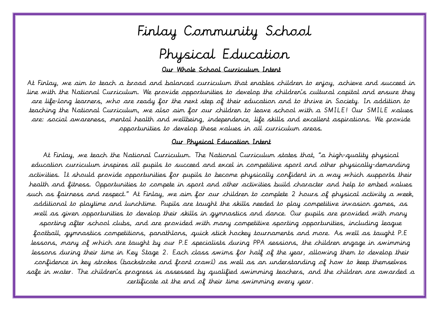# Finlay Community School

# Physical Education

#### Ī Our Whole School Curriculum Intent

 At Finlay, we aim to teach a broad and balanced curriculum that enables children to enjoy, achieve and succeed in line with the National Curriculum. We provide opportunities to develop the children's cultural capital and ensure they  $\tilde{.}$  are: social awareness, mental health and wellbeing, independence, life skills and excellent aspirations. We provide opportunities to develop these values in all curriculum areas. are life-long learners, who are ready for the next step of their education and to thrive in Society. In addition to teaching the National Curriculum, we also aim for our children to leave school with a SMILE! Our SMILE values

#### i<br>L Our Physical Education Intent

 At Finlay, we teach the National Curriculum. The National Curriculum states that, "a high-quality physical education curriculum inspires all pupils to succeed and excel in competitive sport and other physically-demanding activities. It should provide opportunities for pupils to become physically confident in a way which supports their Ţ well as given opportunities to develop their skills in gymnastics and dance. Our pupils are provided with many sporting after school clubs, and are provided with many competitive sporting opportunities, including league football, gymnastics competitions, panathlons, quick stick hockey tournaments and more. As well as taught P.E lessons, many of which are taught by our P.E specialists during PPA sessions, the children engage in swimming lessons during their time in Key Stage 2. Each class swims for half of the year, allowing them to develop their safe in water. The children's progress is assessed by qualified swimming teachers, and the children are awarded a health and fitness. Opportunities to compete in sport and other activities build character and help to embed values such as fairness and respect." At Finlay, we aim for our children to complete 2 hours of physical activity a week, additional to playtime and lunchtime. Pupils are taught the skills needed to play competitive invasion games, as confidence in key strokes (backstroke and front crawl) as well as an understanding of how to keep themselves certificate at the end of their time swimming every year.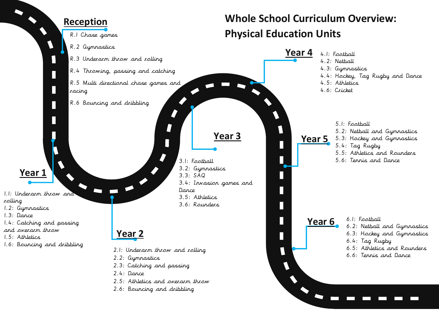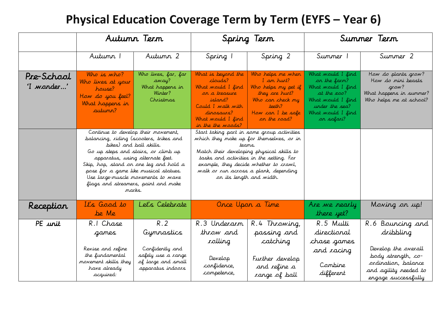# **Physical Education Coverage Term by Term (EYFS – Year 6)**

|                          |                                                                                                                                                                                                                                                                                                                                                                | Autumn Term                                                                                           |                                                                                                                                                             | Spring Term                                                                                                                                                                                                                                                                                              | Summer Term                                                                                                                                             |                                                                                                          |  |
|--------------------------|----------------------------------------------------------------------------------------------------------------------------------------------------------------------------------------------------------------------------------------------------------------------------------------------------------------------------------------------------------------|-------------------------------------------------------------------------------------------------------|-------------------------------------------------------------------------------------------------------------------------------------------------------------|----------------------------------------------------------------------------------------------------------------------------------------------------------------------------------------------------------------------------------------------------------------------------------------------------------|---------------------------------------------------------------------------------------------------------------------------------------------------------|----------------------------------------------------------------------------------------------------------|--|
|                          | Autumn 1                                                                                                                                                                                                                                                                                                                                                       | Autumn 2                                                                                              | Spring 2<br>Spring 1                                                                                                                                        |                                                                                                                                                                                                                                                                                                          | Summer 1                                                                                                                                                | Summer 2                                                                                                 |  |
| Pre-School<br>'I wonder' | Who is who?<br>Who lives at your<br>house?<br>How do you feel?<br>What happens in<br>autumn?                                                                                                                                                                                                                                                                   | Who lives, far, far<br>away?<br>What happens in<br>Winter?<br>Christmas                               | What is beyond the<br>clauds?<br>What would I find<br>on a treasure<br>island?<br>Could I walk with<br>dinosaurs?<br>What would I find<br>in the the woods? | Who helps me when<br>$I$ an hurt?<br>Who helps my pet if<br>they are hurt?<br>Who can check my<br>teeth?<br>How can I be safe<br>on the road?                                                                                                                                                            | What would I find<br>on the farm?<br>What would I find<br>at the <b>zoo</b> ?<br>What would I find<br>under the sea?<br>What would I find<br>or safari? | How do plants grow?<br>How do mini beasts<br>grow?<br>What happens in summer?<br>Who helps me at school? |  |
|                          | Continue to develop their movement,<br>balancing, riding (scooters, trikes and<br>bikes) and ball skills.<br>Go up steps and stairs, or climb up<br>apparatus, using alternate feet.<br>Skip, hop, stand on one leg and hold a<br>pose for a game like musical statues.<br>Use large-muscle movements to wave<br>flags and streamers, paint and make<br>marks. |                                                                                                       |                                                                                                                                                             | Start taking part in some group activities<br>which they make up for themselves, or in<br>teams.<br>Match their developing physical skills to<br>tasks and activities in the setting. For<br>example, they decide whether to crawl,<br>walk or run across a plank, depending<br>on its length and width. |                                                                                                                                                         |                                                                                                          |  |
| Reception                | It's Good to<br>be Me                                                                                                                                                                                                                                                                                                                                          | Let's Celebrate                                                                                       |                                                                                                                                                             | Once Upon a Time                                                                                                                                                                                                                                                                                         | Are we nearly<br>there yet?                                                                                                                             | Moving on up!                                                                                            |  |
| PE unit                  | R.I Chase<br>games<br>Revise and refine<br>the fundamental<br>movement skills they<br>have already                                                                                                                                                                                                                                                             | R.2<br>Gymnastics<br>Confidently and<br>safely use a range<br>of large and small<br>apparatus indoors | R.3 Underarm<br>throw and<br>olling<br>Develop<br>confidence,                                                                                               | R.4 Throwing,<br>passing and<br>catching<br>Further develop<br>and refine a                                                                                                                                                                                                                              | R.5 Multi<br>directional<br>chase games<br>and racing<br>Combine                                                                                        | R.6 Bouncing and<br>dribbling<br>Develop the overall<br>body strength, co-<br>ordination, balance        |  |
|                          | acquired:                                                                                                                                                                                                                                                                                                                                                      |                                                                                                       | competence,                                                                                                                                                 | range of ball                                                                                                                                                                                                                                                                                            | different                                                                                                                                               | and agility needed to<br>engage successfully                                                             |  |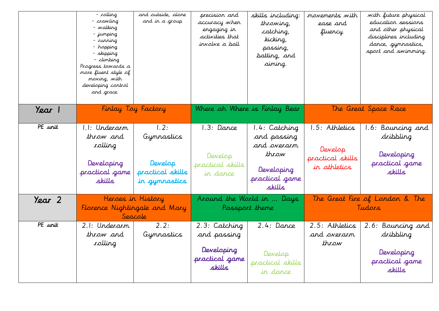|                      | - rolling<br>- crawling<br>- walking<br>- jumping<br>$-$ running<br>- hopping<br>- skipping<br>- climbing<br>Progress towards a<br>more fluent style of<br>moving, with<br>developing control<br>and grace. | and outside, alone<br>and in a group                               | precision and<br>accuracy when<br>engaging in<br>activities that<br>irvalve a ball | skills including:<br>throwing,<br>catching,<br>kicking,<br>passing,<br>batting, and<br>aiming. | <i>movements with</i><br>ease and<br>fluency.                 | with future physical<br>education sessions<br>and other physical<br>disciplines including<br>dance, gymnastics,<br>sport and swimming. |  |
|----------------------|-------------------------------------------------------------------------------------------------------------------------------------------------------------------------------------------------------------|--------------------------------------------------------------------|------------------------------------------------------------------------------------|------------------------------------------------------------------------------------------------|---------------------------------------------------------------|----------------------------------------------------------------------------------------------------------------------------------------|--|
| Year 1               | Finlay Toy Factory                                                                                                                                                                                          |                                                                    | Where oh Where is Finlay Bear                                                      |                                                                                                | The Great Space Race                                          |                                                                                                                                        |  |
| PE unit              | 1.1: Underarm<br>throw and<br>rolling<br>Developing<br>practical game<br>skills                                                                                                                             | 1.2:<br>Gymnastics<br>Develop<br>practical skills<br>in gymnastics | 1.3: Dance<br>Develop<br>practical skills<br>in dance                              | 1.4: Catching<br>and passing<br>and overarm<br>throw<br>Developing<br>practical game<br>skills | 1.5: Athletics<br>Develop<br>practical skills<br>in athletics | Bouncing and<br>1.6:<br>dribbling<br>Developing<br>practical game<br>skills                                                            |  |
| Year 2               |                                                                                                                                                                                                             | Heroes in History<br>Florence Nightingale and Mary<br>Seacole      |                                                                                    | Around the World in  Days<br>Passport theme                                                    |                                                               | The Great Fire of London & The<br>Tudars                                                                                               |  |
| $\overline{PE}$ unit | 2.1: Underarm<br>throw and<br>rolling                                                                                                                                                                       | 2.2:<br>Gymnastics                                                 | 2.3: Catching<br>and passing<br>Developing<br>practical game<br>skills             | $2.4:$ Dance<br>Develop<br>practical skills<br>in dance                                        | 2.5: Athletics<br>and overarm<br>throw                        | 2.6: Bouncing and<br>dribbling<br>Developing<br>practical game<br>skills                                                               |  |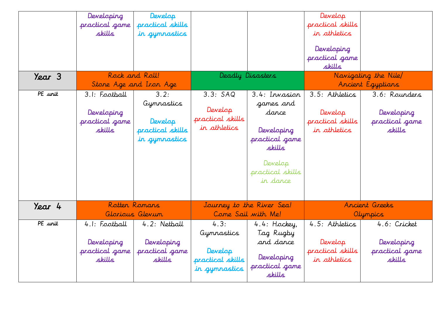| Year 3  | Developing<br>practical game<br>skills                  | Develop<br>practical skills<br>in gymnastics<br>Rock and Roll!     |                                                                    | Deadly Disasters                                                                                                         | Develop<br>practical skills<br>in athletics<br>Developing<br>practical game<br>skills | Navigating the Nile                                     |
|---------|---------------------------------------------------------|--------------------------------------------------------------------|--------------------------------------------------------------------|--------------------------------------------------------------------------------------------------------------------------|---------------------------------------------------------------------------------------|---------------------------------------------------------|
|         | Stone Age and Iron Age                                  |                                                                    |                                                                    |                                                                                                                          |                                                                                       | Ancient Egyptians                                       |
| PE unit | 3.1: Football<br>Developing<br>practical game<br>skills | 3.2:<br>Gymnastics<br>Develop<br>practical skills<br>in gymnastics | 3.3: SAO<br>Develop<br>practical skills<br>in athletics            | 3.4: Invasion<br>games and<br>dance<br>Developing<br>practical game<br>skills<br>Develop<br>practical skills<br>in dance | 3.5: Athletics<br>Develop<br>practical skills<br>in athletics                         | 3.6: Rounders<br>Developing<br>practical game<br>skills |
| Year 4  |                                                         | Rotten Romans<br>Glorious Glevum                                   |                                                                    | Journey to the River Sea!<br>Come Sail with Me!                                                                          |                                                                                       | Ancient Greeks<br>Olympics                              |
| PE unit | 4.1: Football<br>Developing<br>practical game<br>skills | 4.2: Netball<br>Developing<br>practical game<br>skills             | 4.3:<br>Gymnastics<br>Develop<br>practical skills<br>in gymnastics | 4.4: Hockey,<br>Tag Rugby<br>and dance<br>Developing<br>practical game<br>skills                                         | 4.5: Athletics<br>Develop<br>practical skills<br>in athletics                         | 4.6: Cricket<br>Developing<br>practical game<br>skills  |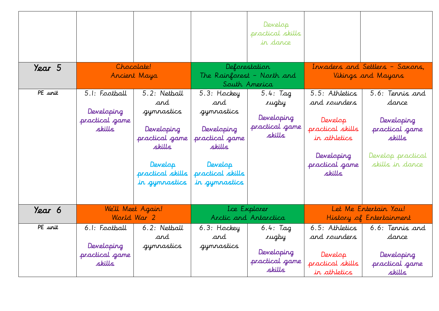| Year 5  |                                                         | Chocolate!<br>Ancient Maya                                                                                                  |                                                                                                                            | Develop<br>practical skills<br>in dance<br>Deforestation<br>The Rainforest - North and |                                                                                                                         | Invaders and Settlers - Saxons,<br>Vikings and Mayans                                                      |
|---------|---------------------------------------------------------|-----------------------------------------------------------------------------------------------------------------------------|----------------------------------------------------------------------------------------------------------------------------|----------------------------------------------------------------------------------------|-------------------------------------------------------------------------------------------------------------------------|------------------------------------------------------------------------------------------------------------|
| PE unit | 5.1: Football<br>Developing<br>practical game<br>skills | 5.2: Netball<br>and<br>gymnastics<br>Developing<br>practical game<br>skills<br>Develop<br>practical skills<br>in gymnastics | 5.3: Hockey<br>and<br>gymnastics<br>Developing<br>practical game<br>skills<br>Develop<br>practical skills<br>in gymnastics | South America<br>$5.4:$ Tag<br>rugby<br>Developing<br>practical game<br>skills         | 5.5: Athletics<br>and rounders<br>Develop<br>practical skills<br>in athletics<br>Developing<br>practical game<br>skills | 5.6: Tennis and<br>dance<br>Developing<br>practical game<br>skills<br>Develop practical<br>skills in dance |
| Year 6  |                                                         | We'll Meet Again!<br>World War 2                                                                                            |                                                                                                                            | Lce Explorer<br>Arctic and Antarctica                                                  |                                                                                                                         | Let Me Entertain You!<br>History of Entertainment                                                          |
| PE unit | 6.1: Football<br>Developing<br>practical game<br>skills | 6.2: Netball<br>and<br>gymnastics                                                                                           | 6.3: Hockey<br>and<br>gymnastics                                                                                           | 6.4: $Tag$<br>rugby<br>Developing<br>practical game<br>skills                          | 6.5: Athletics<br>and <i>rounders</i><br>Develop<br>practical skills<br>in athletics                                    | 6.6: Tennis and<br>dance<br>Developing<br>practical game<br>skills                                         |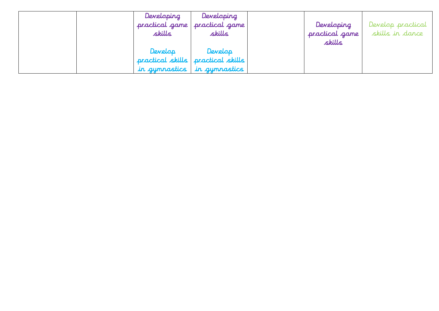| Developing     | Developing                          |                |                   |
|----------------|-------------------------------------|----------------|-------------------|
| practical game | practical game                      | Developing     | Develop practical |
| skills         | skills                              | practical game | skills in dance   |
|                |                                     | skills         |                   |
| Develop        | Develop                             |                |                   |
|                | practical skills   practical skills |                |                   |
|                | in gymnastics in gymnastics         |                |                   |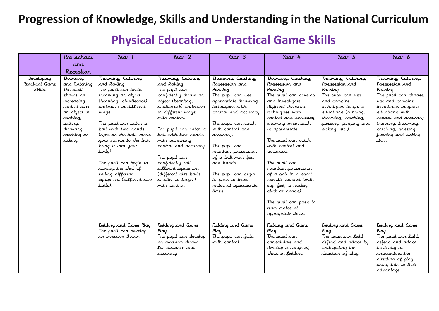#### **Progression of Knowledge, Skills and Understanding in the National Curriculum**

### **Physical Education – Practical Game Skills**

|                                               | Pre-school                                                                                                                                                      | Y <sub>ear</sub>                                                                                                                                                                                                                                                                                                                                                                                | Year 2                                                                                                                                                                                                                                                                                                                                                                                  | $\gamma_{\text{ear}}$ 3                                                                                                                                                                                                                                                                                                                                    | Year 4                                                                                                                                                                                                                                                                                                                                                                                                                                                             | Year 5                                                                                                                                                                                               | Year 6                                                                                                                                                                                                                                       |
|-----------------------------------------------|-----------------------------------------------------------------------------------------------------------------------------------------------------------------|-------------------------------------------------------------------------------------------------------------------------------------------------------------------------------------------------------------------------------------------------------------------------------------------------------------------------------------------------------------------------------------------------|-----------------------------------------------------------------------------------------------------------------------------------------------------------------------------------------------------------------------------------------------------------------------------------------------------------------------------------------------------------------------------------------|------------------------------------------------------------------------------------------------------------------------------------------------------------------------------------------------------------------------------------------------------------------------------------------------------------------------------------------------------------|--------------------------------------------------------------------------------------------------------------------------------------------------------------------------------------------------------------------------------------------------------------------------------------------------------------------------------------------------------------------------------------------------------------------------------------------------------------------|------------------------------------------------------------------------------------------------------------------------------------------------------------------------------------------------------|----------------------------------------------------------------------------------------------------------------------------------------------------------------------------------------------------------------------------------------------|
|                                               | and                                                                                                                                                             |                                                                                                                                                                                                                                                                                                                                                                                                 |                                                                                                                                                                                                                                                                                                                                                                                         |                                                                                                                                                                                                                                                                                                                                                            |                                                                                                                                                                                                                                                                                                                                                                                                                                                                    |                                                                                                                                                                                                      |                                                                                                                                                                                                                                              |
|                                               | Reception                                                                                                                                                       |                                                                                                                                                                                                                                                                                                                                                                                                 |                                                                                                                                                                                                                                                                                                                                                                                         |                                                                                                                                                                                                                                                                                                                                                            |                                                                                                                                                                                                                                                                                                                                                                                                                                                                    |                                                                                                                                                                                                      |                                                                                                                                                                                                                                              |
| Developing<br>Practical Game<br><b>Skills</b> | Throwing<br>and Catching<br>The pupil<br>shows an<br>increasing<br>control over<br>an object in<br>pushing,<br>patting,<br>throwing,<br>catching or<br>kicking. | Throwing, Catching<br>and Ralling<br>The pupil can begin<br>throwing an object<br>(beanbag, shuttlecock)<br>underarm in different<br>ways.<br>The pupil can catch a<br>ball with two hands<br>(eyes on the ball, move<br>your hands to the ball,<br>bring it into your<br>body).<br>The pupil can begin to<br>develop the skill of<br>rolling different<br>equipment (different size<br>balls). | Throwing, Catching<br>and Ralling<br>The pupil can<br>confidently throw an<br>object (beanbag,<br>shuttlecock) underarm<br>in different ways<br>with control.<br>The pupil can catch a<br>pall with two hands<br>with increasing<br>control and accuracy.<br>The pupil can<br>confidently roll<br>different equipment<br>(different size balls -<br>smaller to larger)<br>with control. | Throwing, Catching,<br>Passessiar and<br>Passing<br>The pupil can use<br>appropriate throwing<br>techniques with<br>control and accuracy.<br>The pupil can catch<br>with control and<br>accuracy.<br>The pupil can<br>maintain possession<br>of a ball with feet<br>and hands.<br>The pupil can begin<br>to pass to team<br>mates at appropriate<br>times. | Throwing, Catching,<br>Possession and<br>Passing<br>The pupil can develop<br>and investigate<br>different throwing<br>techniques with<br>control and accuracy,<br>knowing when each<br>is appropriate.<br>The pupil can catch<br>with control and<br>accuracy.<br>The pupil can<br>maintain possession<br>of a ball in a sport<br>specific context (with<br>e.g. feet, a hockey<br>stick or hands)<br>The pupil can pass to<br>team mates at<br>appropriate times. | Throwing, Catching,<br>Possession and<br>Passing<br>The pupil can use<br>and combine<br>techniques in game<br>situations (running,<br>throwing, catching,<br>passing, jumping and<br>kicking, etc.). | Throwing, Catching,<br>Passessian and<br>Passing<br>The pupil can choose,<br>use and combine<br>techniques in game<br>situations with<br>control and accuracy<br>(running, throwing,<br>catching, passing,<br>jumping and kicking,<br>etc.). |
|                                               |                                                                                                                                                                 | Fielding and Game Play<br>The pupil can develop<br>an overarm throw.                                                                                                                                                                                                                                                                                                                            | Fielding and Game<br>Play<br>The pupil can develop<br>ar overarm throw<br>for distance and<br>accuracy                                                                                                                                                                                                                                                                                  | Fielding and Game<br>Play<br>The pupil can field<br>with control.                                                                                                                                                                                                                                                                                          | Fielding and Game<br>Play<br>The pupil can<br>consolidate and<br>develop a range of<br>skills in fielding.                                                                                                                                                                                                                                                                                                                                                         | Fielding and Game<br>Play<br>The pupil can field<br>defend and attack by<br>anticipating the<br>direction of play.                                                                                   | Fielding and Game<br>Play<br>The pupil can field,<br>defend and attack<br>tactically by<br>anticipating the<br>direction of play,<br>using this to their<br>advantage.                                                                       |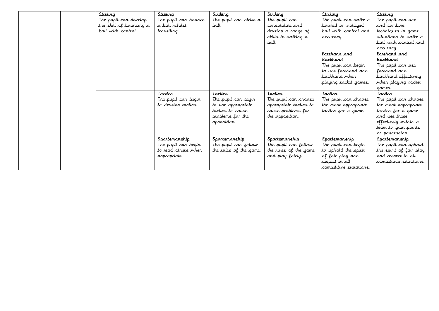|  | Striking                | Striking             | Striking               | Striking               | Striking                | Striking                |
|--|-------------------------|----------------------|------------------------|------------------------|-------------------------|-------------------------|
|  | The pupil can develop   | The pupil can bounce | The pupil can strike a | The pupil can          | The pupil can strike a  | The pupil can use       |
|  | the skill of bouncing a | a ball whilst        | ball.                  | consolidate and        | bowled or volleyed      | and combine             |
|  | ball with control.      | travelling.          |                        | develop a range of     | ball with control and   | techniques in game      |
|  |                         |                      |                        | skills in striking a   | accuracy.               | situations to strike a  |
|  |                         |                      |                        | ball.                  |                         | ball with control and   |
|  |                         |                      |                        |                        |                         | accuracy.               |
|  |                         |                      |                        |                        | Forehand and            | Farehand and            |
|  |                         |                      |                        |                        | <b>Backhand</b>         | <b>Backhand</b>         |
|  |                         |                      |                        |                        | The pupil can begin     | The pupil can use       |
|  |                         |                      |                        |                        | to use forehand and     | forehand and            |
|  |                         |                      |                        |                        | backhand when           | backhand effectively    |
|  |                         |                      |                        |                        | playing racket games.   | when playing racket     |
|  |                         |                      |                        |                        |                         | games.                  |
|  |                         | Tactics              | Tactics                | Tactics                | Tactics                 | Tactics                 |
|  |                         | The pupil can begin  | The pupil can begin    | The pupil can choose   | The pupil can choose    | The pupil can choose    |
|  |                         | to develop tactics.  | to use appropriate     | appropriate tactics to | the most appropriate    | the most appropriate    |
|  |                         |                      | tactics to cause       | cause problems for     | tactics for a game.     | tactics for a game      |
|  |                         |                      | problems for the       | the opposition.        |                         | and use these           |
|  |                         |                      | opposition.            |                        |                         | effectively within a    |
|  |                         |                      |                        |                        |                         | team to gain points     |
|  |                         |                      |                        |                        |                         | or possession.          |
|  |                         | Spartsmanship        | Spartsmanship          | Spartsmanship          | Spartsmanship           | Spartsmanship           |
|  |                         | The pupil can begin  | The pupil can follow   | The pupil can follow   | The pupil can begin     | The pupil can uphold    |
|  |                         | to lead others when  | the rules of the game. | the rules of the game  | to uphold the spirit    | the spirit of fair play |
|  |                         | appropriate.         |                        | and play fairly.       | of fair play and        | and respect in all      |
|  |                         |                      |                        |                        | respect in all          | competitive situations. |
|  |                         |                      |                        |                        | competitive situations. |                         |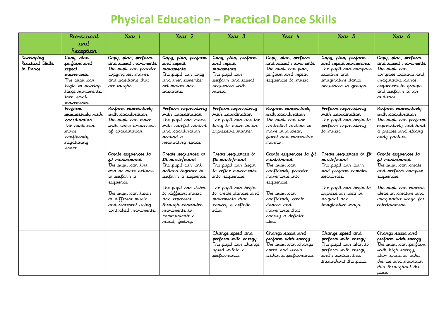# **Physical Education – Practical Dance Skills**

|                                            | Pre-school                                                                                                                                        | Year 1                                                                                                                                                                                                        | $\gamma_{\text{ear}}$ 2                                                                                                                                                                                                                           | $\gamma_{\text{ear}}$ 3                                                                                                                                                                               | Year 4                                                                                                                                                                                                              | Year 5                                                                                                                                                                                 | Year 6                                                                                                                                                                                         |
|--------------------------------------------|---------------------------------------------------------------------------------------------------------------------------------------------------|---------------------------------------------------------------------------------------------------------------------------------------------------------------------------------------------------------------|---------------------------------------------------------------------------------------------------------------------------------------------------------------------------------------------------------------------------------------------------|-------------------------------------------------------------------------------------------------------------------------------------------------------------------------------------------------------|---------------------------------------------------------------------------------------------------------------------------------------------------------------------------------------------------------------------|----------------------------------------------------------------------------------------------------------------------------------------------------------------------------------------|------------------------------------------------------------------------------------------------------------------------------------------------------------------------------------------------|
|                                            | and                                                                                                                                               |                                                                                                                                                                                                               |                                                                                                                                                                                                                                                   |                                                                                                                                                                                                       |                                                                                                                                                                                                                     |                                                                                                                                                                                        |                                                                                                                                                                                                |
|                                            | Reception                                                                                                                                         |                                                                                                                                                                                                               |                                                                                                                                                                                                                                                   |                                                                                                                                                                                                       |                                                                                                                                                                                                                     |                                                                                                                                                                                        |                                                                                                                                                                                                |
| Developing<br>Practical Skills<br>in Dance | Copy, plan,<br>perform and<br>repeat<br>movements<br>The pupil can<br>begin to develop<br>large movements,<br>then small<br>movements.<br>Perform | Copy, plan, perform<br>and repeat movements<br>The pupil can practice<br>copying set moves<br>and positions that<br>are taught.<br>Perform expressively                                                       | Copy, plan, perform<br>and repeat<br>navements<br>The pupil can copy<br>and then remember<br>set moves and<br>positions.<br>Perform expressively                                                                                                  | Copy, plan, perform<br>and repeat<br>novements<br>The pupil can<br>perform and repeat<br>sequences with<br>music.<br>Perform expressively                                                             | Copy, plan, perform<br>and repeat movements<br>The pupil can plan,<br>perform and repeat<br>sequences to music.<br>Perform expressively                                                                             | Copy, plan, perform<br>and repeat movements<br>The pupil can compose<br>creative and<br>imaginative dance<br>sequences in groups.<br>Perform expressively                              | Copy, plan, perform<br>and repeat movements<br>The pupil can<br>compose creative and<br>imaginative dance<br>sequences in groups<br>and perform to an<br>audierce.<br>Perform expressively     |
|                                            | expressively with<br>coardination<br>The pupil can<br>move<br>confidently,<br>regotiating<br>space.                                               | with caardinatian<br>The pupil can move<br>with some awareness<br>of coordination.                                                                                                                            | with caardination<br>The pupil can move<br>with careful control<br>and coordination<br>around a<br>negotiating space.                                                                                                                             | with caardinatian<br>The pupil can use the<br>body to nove in an<br>expressive manner.                                                                                                                | with caardinatian<br>The pupil can use<br>controlled actions to<br>nove in a clear.<br>fluent and expressive<br>manner.                                                                                             | with caardinatian<br>The pupil can begin to<br>perform expressively<br>to music.                                                                                                       | with caardinatian<br>The pupil can perform<br>expressively and hold<br>a precise and strong<br>body posture.                                                                                   |
|                                            |                                                                                                                                                   | Create sequences to<br>fit music/mood<br>The pupil can link<br>two or more actions<br>to perform a<br>sequence.<br>The pupil can listen<br>to different music<br>and represent using<br>controlled movements. | Create sequences to<br>fit music/mood<br>The pupil can link<br>actions together to<br>perform a sequence.<br>The pupil can listen<br>to different music<br>and represent<br>through controlled<br>movements to<br>communicate a<br>mood, feeling. | Create sequences to<br>fit music/mood<br>The pupil can begin<br>to refine movements<br>into sequences.<br>The pupil can begin<br>to create dances and<br>movements that<br>corvey a definite<br>idea. | Create sequences to fit<br>music/mood<br>The pupil can<br>confidently practice<br>movements into<br>sequences.<br>The pupil can<br>confidently create<br>dances and<br>movements that<br>corvey a definite<br>idea. | Create sequences to fit<br>music/mood<br>The pupil can learn<br>and perform complex<br>sequences.<br>The pupil can begin to<br>express an idea in<br>ariginal and<br>imaginative ways. | Create sequences to<br>fit music/mood<br>The pupil can create<br>and perform complex<br>sequences.<br>The pupil can express<br>ideas in creative and<br>imaginative ways for<br>entertainment. |
|                                            |                                                                                                                                                   |                                                                                                                                                                                                               |                                                                                                                                                                                                                                                   | Change speed and<br>perform with energy<br>The pupil can change<br>speed within a<br>performance.                                                                                                     | Change speed and<br>perform with energy<br>The pupil can change<br>speed and levels<br>within a performance.                                                                                                        | Change speed and<br>perform with energy<br>The pupil can plan to<br>perform with energy<br>and maintain this<br>throughout the piece.                                                  | Change speed and<br>perform with energy<br>The pupil can perform<br>with high energy,<br>slow grace or other<br>themes and maintain<br>this throughout the<br>piece.                           |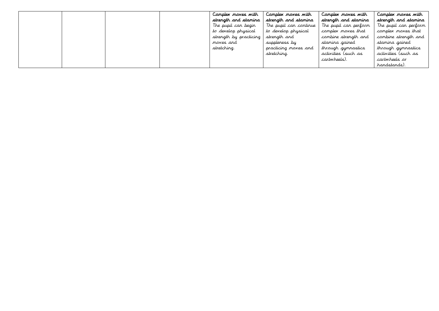|  |  | Canplex naves with     | Canplex naves with     | Complex noves with    | Complex noves with    |
|--|--|------------------------|------------------------|-----------------------|-----------------------|
|  |  | strength and stamina   | strength and stamina   | strength and stamina  | strenath and stamina  |
|  |  | The pupil can begin    | The pupil can continue | The pupil can perform | The pupil can perform |
|  |  | to develop physical    | to develop physical    | complex moves that    | complex moves that    |
|  |  | strength by practicing | strength and           | combine strength and  | combine strength and  |
|  |  | moves and              | suppleness by          | stamina gained        | stamina gained        |
|  |  | stretching.            | practicing moves and   | through gymnastics    | through gymnastics    |
|  |  |                        | stretching.            | activities (such as   | activities (such as   |
|  |  |                        |                        | cartwheels).          | cartwheels or         |
|  |  |                        |                        |                       | handstands).          |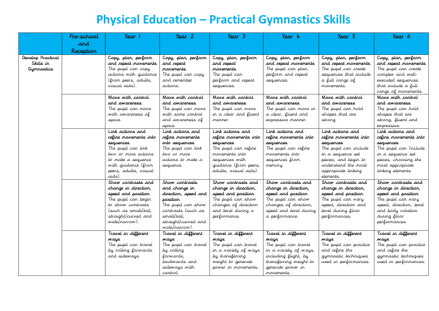# **Physical Education – Practical Gymnastics Skills**

|                                                     | Pre-school | Year 1                                                                                                                                                                              | Year 2                                                                                                                                                                 | Year 3                                                                                                                                                               | Year 4                                                                                                                                                                          | Year 5                                                                                                                                                                                  | Year 6                                                                                                                                                                  |
|-----------------------------------------------------|------------|-------------------------------------------------------------------------------------------------------------------------------------------------------------------------------------|------------------------------------------------------------------------------------------------------------------------------------------------------------------------|----------------------------------------------------------------------------------------------------------------------------------------------------------------------|---------------------------------------------------------------------------------------------------------------------------------------------------------------------------------|-----------------------------------------------------------------------------------------------------------------------------------------------------------------------------------------|-------------------------------------------------------------------------------------------------------------------------------------------------------------------------|
|                                                     | and        |                                                                                                                                                                                     |                                                                                                                                                                        |                                                                                                                                                                      |                                                                                                                                                                                 |                                                                                                                                                                                         |                                                                                                                                                                         |
|                                                     | Reception  |                                                                                                                                                                                     |                                                                                                                                                                        |                                                                                                                                                                      |                                                                                                                                                                                 |                                                                                                                                                                                         |                                                                                                                                                                         |
| Develop Practical<br>Skills in<br><b>Gymnastics</b> |            | Copy, plan, perform<br>and repeat movements<br>The pupil can copy<br>actions with guidance                                                                                          | Copy, plan, perform<br>and repeat<br>novements<br>The pupil can copy                                                                                                   | Copy, plan, perform<br>and repeat<br>navements<br>The pupil can                                                                                                      | Copy, plan, perform<br>and repeat movements<br>The pupil can plan,<br>perform and repeat                                                                                        | Copy, plan, perform<br>and repeat movements<br>The pupil can create<br>sequences that include                                                                                           | Copy, plan, perform<br>and repeat movements<br>The pupil can create<br>complex and well-                                                                                |
|                                                     |            | (from peers, adults,<br>visual aids).                                                                                                                                               | and remember<br>actions.                                                                                                                                               | perform and repeat<br>sequences.                                                                                                                                     | sequences.                                                                                                                                                                      | a full range of<br>movements.                                                                                                                                                           | executed sequences<br>that include a full<br>range of movements.                                                                                                        |
|                                                     |            | Mave with cantral<br>and awareness<br>The pupil can move<br>with awareness of<br>space.                                                                                             | Mave with cantral<br>and awareness<br>The pupil can move<br>with some control<br>and awareness of<br>space.                                                            | Mave with cantral<br>and awareness<br>The pupil can move<br>in a clear and fluent<br>manner.                                                                         | Mave with cantral<br>and awareness<br>The pupil can move in<br>a clear, fluent and<br>expressive manner.                                                                        | Mave with cantral<br>and awareness<br>The pupil can hold<br>shapes that are<br>strong.                                                                                                  | Mave with cantral<br>and <i>awareress</i><br>The pupil can hold<br>shapes that are<br>strong, fluent and<br>expressive.                                                 |
|                                                     |            | Link actions and<br>refine movements into<br>sequences<br>The pupil can link<br>two or more actions<br>to make a sequence<br>with guidance (from<br>peers, adults, visual<br>aids). | Link actions and<br>refine movements<br>into sequences<br>The pupil can link<br>two or more<br>actions to make a<br>sequence.                                          | Link actions and<br>refine movements into<br>sequences<br>The pupil can refine<br>movements into<br>sequences with<br>guidance (from peers,<br>adults, visual aids). | Link actions and<br>refine movements into<br>sequences<br>The pupil can refine<br>movements into<br>sequences from<br>memory.                                                   | Link actions and<br>refine movements into<br>sequences<br>The pupil can include<br>in a sequence set<br>pieces, and begin to<br>understand the most<br>appropriate linking<br>elements. | Link actions and<br>refine movements into<br>sequences<br>The pupil can Include<br>in a sequence set<br>pieces, choosing the<br>most appropriate<br>linking elements.   |
|                                                     |            | Show contrasts and<br>change in direction,<br>speed and position<br>The pupil can begin<br>to show contrasts<br>(such as small/tall,<br>straight/curved and<br>wide/narrow).        | Show contrasts<br>and change in<br>direction, speed and<br>position<br>The pupil can show<br>contrasts (such as<br>small/tall,<br>straight/curved and<br>wide/narrow). | Show contrasts and<br>change in direction,<br>speed and position<br>The pupil can show<br>changes of direction<br>and level during a<br>performance.                 | Show contrasts and<br>change in direction,<br>speed and position<br>The pupil can show<br>changes of direction,<br>speed and level during<br>a performance.                     | Show contrasts and<br>change in direction,<br>speed and position<br>The pupil can <i>wary</i><br>speed, direction and<br>level during floor<br>performances.                            | Show contrasts and<br>change in direction,<br>speed and position<br>The pupil can wary<br>speed, direction, level<br>and body rotation<br>during floor<br>performances. |
|                                                     |            | Travel in different<br>syow<br>The pupil can travel<br>by rolling forwards<br>and sideways.                                                                                         | Travel in different<br><b>ways</b><br>The pupil can travel<br>by rolling<br>forwards,<br>backwards and<br>sideways with<br>cartral.                                    | Travel in different<br>ways.<br>The pupil can travel<br>in a variety of ways<br>by transferring<br>weight to generate<br>power in movements.                         | Travel in different<br><b><i>Mays</i></b><br>The pupil can travel<br>in a variety of ways,<br>including flight, by<br>transferring weight to<br>generate power in<br>novements. | Travel in different<br><b>ways</b><br>The pupil can practice<br>and refine the<br>gymnastic techniques<br>used in performances.                                                         | Travel in different<br>ways.<br>The pupil can practice<br>and <i>re</i> fine the<br>gymnastic techniques<br>used in performances.                                       |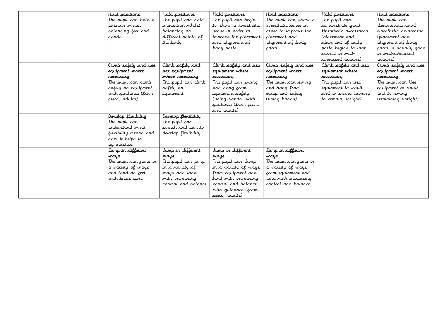|  | Hold positions        | Hold positions       | Hold positions        | Hald pasitians        | Hold positions        | Hold positions        |
|--|-----------------------|----------------------|-----------------------|-----------------------|-----------------------|-----------------------|
|  | The pupil can hold a  | The pupil can hold   | The pupil can begin   | The pupil can show a  | The pupil can         | The pupil can         |
|  | position whilst       | a position whilst    | to show a kinesthetic | kinesthetic sense in  | demonstrate good      | demonstrate good      |
|  | balancing feet and    | balancing on         | serse in order to     | order to improve the  | kinesthetic awareness | kinesthetic awareness |
|  | hands.                | different points of  | improve the placement | placement and         | (placement and        | (placement and        |
|  |                       | the body.            | and alignment of      | alignment of body     | alignment of body     | alignment of body     |
|  |                       |                      | body parts.           | parts.                | parts begins to look  | parts is usually good |
|  |                       |                      |                       |                       | correct in well-      | in well-rehearsed     |
|  |                       |                      |                       |                       | rehearsed actions).   | actions).             |
|  | Climb safely and use  | Climb safely and     | Climb safely and use  | Climb safely and use  | Climb safely and use  | Climb safely and use  |
|  | equipment where       | use equipment        | equipment where       | equipment where       | equipment where       | equipment where       |
|  | recessary             | where necessary      | recessary             | recessary             | necessary             | recessary             |
|  | The pupil can climb   | The pupil can climb  | The pupil can swing   | The pupil can swing   | The pupil can use     | The pupil can Use     |
|  | safely on equipment   | safely on            | and hang from         | and hang from         | equipment to vault    | equipment to vault    |
|  | with guidance (from   | equipment.           | equipment safely      | equipment safely      | and to swing (aiming  | and to swing          |
|  | peers, adults).       |                      | (using hands) with    | (using hands).        | to remain upright).   | (remaining upright).  |
|  |                       |                      | guidance (from peers  |                       |                       |                       |
|  |                       |                      | and adults).          |                       |                       |                       |
|  | Develop flexibility   | Develop flexibility  |                       |                       |                       |                       |
|  | The pupil can         | The pupil can        |                       |                       |                       |                       |
|  | understand what       | stretch and curl to  |                       |                       |                       |                       |
|  | flexibility means and | develop flexibility. |                       |                       |                       |                       |
|  | how it helps in       |                      |                       |                       |                       |                       |
|  | gymnastics.           |                      |                       |                       |                       |                       |
|  | Jump in different     | Jump in different    | Jump in different     | Jump in different     |                       |                       |
|  | <b>ways</b>           | <b><i>ways</i></b>   | <b>ways</b>           | <b><i>ways</i></b>    |                       |                       |
|  | The pupil can jump in | The pupil can jump   | The pupil can Jump    | The pupil can jump in |                       |                       |
|  | a variety of ways     | in a variety of      | in a variety of ways  | a variety of ways     |                       |                       |
|  | and land an feet      | ways and land        | from equipment and    | from equipment and    |                       |                       |
|  | with knees bent.      | with increasing      | land with increasing  | land with increasing  |                       |                       |
|  |                       | control and balance  | control and balance   | control and balance.  |                       |                       |
|  |                       |                      | with guidance (from   |                       |                       |                       |
|  |                       |                      | peers, adults).       |                       |                       |                       |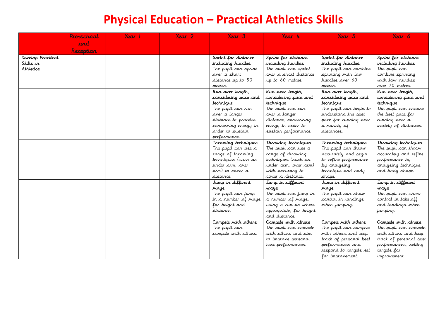# **Physical Education – Practical Athletics Skills**

|                                | Pre-school | Year | Year 2 | Year 3                                    | Year 4                                      | Year 5                                     | Year 6                             |
|--------------------------------|------------|------|--------|-------------------------------------------|---------------------------------------------|--------------------------------------------|------------------------------------|
|                                | and        |      |        |                                           |                                             |                                            |                                    |
|                                | Reception  |      |        |                                           |                                             |                                            |                                    |
|                                |            |      |        |                                           |                                             |                                            |                                    |
| Develop Practical<br>Skills in |            |      |        | Sprint for distance                       | Sprint for distance                         | Sprint for distance                        | Sprint for distance                |
| Athletics                      |            |      |        | including hurdles<br>The pupil can sprint | including hundles<br>The pupil can sprint   | including hurdles<br>The pupil can combine | including hurdles                  |
|                                |            |      |        | over a short                              | over a short distance                       | sprinting with low                         | The pupil can<br>combine sprinting |
|                                |            |      |        | distance up to 50                         | up to 60 metres.                            | hurdles over 60                            | with low hurdles                   |
|                                |            |      |        | metres.                                   |                                             | metres.                                    | over 70 metres.                    |
|                                |            |      |        | Run over length,                          | Run over length,                            | Run over length,                           | Run over length,                   |
|                                |            |      |        | considering pace and                      | considering pace and                        | considering pace and                       | considering pace and               |
|                                |            |      |        | technique                                 | technique                                   | technique                                  | technique                          |
|                                |            |      |        | The pupil can run                         | The pupil can run                           | The pupil can begin to                     | The pupil can choose               |
|                                |            |      |        | over a longer                             | over a longer                               | understand the best                        | the best pace for                  |
|                                |            |      |        | distance to practise                      | distance, conserving                        | pace for running over                      | running over a                     |
|                                |            |      |        | conserving energy in                      | energy in order to                          | a variety of                               | <i>variety of distances.</i>       |
|                                |            |      |        | arder to sustain                          | sustain performance.                        | distances.                                 |                                    |
|                                |            |      |        | performance.                              |                                             |                                            |                                    |
|                                |            |      |        | Throwing techniques                       | Throwing techniques                         | Throwing techniques                        | Throwing techniques                |
|                                |            |      |        | The pupil can use a                       | The pupil can use a                         | The pupil can throw                        | The pupil can throw                |
|                                |            |      |        | range of throwing                         | range of throwing                           | accurately and begin                       | accurately and refine              |
|                                |            |      |        | techniques (such as                       | techniques (such as                         | to refine performance                      | performance by                     |
|                                |            |      |        | under arm, over                           | under arm, over arm)                        | by analysing                               | analysing technique                |
|                                |            |      |        | arm) to cover a                           | with accuracy to                            | technique and body                         | and body shape.                    |
|                                |            |      |        | distance.                                 | cover a distance.                           | shape.                                     |                                    |
|                                |            |      |        | Jump in different                         | Jump in different                           | Jump in different                          | Jump in different                  |
|                                |            |      |        | ways.<br>The pupil can jump               | <b><i>ways</i></b><br>The pupil can jump in | <b><i>ways</i></b><br>The pupil can show   | ways<br>The pupil can show         |
|                                |            |      |        | in a number of ways                       | a number of ways,                           | control in landings                        | control in take-off                |
|                                |            |      |        | for height and                            | using a run up where                        | when jumping.                              | and landings when                  |
|                                |            |      |        | distance.                                 | appropriate, for height                     |                                            | jumping.                           |
|                                |            |      |        |                                           | and distance.                               |                                            |                                    |
|                                |            |      |        | Campete with athers                       | Campete with athers                         | Campete with athers                        | Campete with athers                |
|                                |            |      |        | The pupil can                             | The pupil can compete                       | The pupil can compete                      | The pupil can compete              |
|                                |            |      |        | compete with others.                      | with others and aim                         | with others and keep                       | with others and keep               |
|                                |            |      |        |                                           | to improve personal                         | track of personal best                     | track of personal best             |
|                                |            |      |        |                                           | best performances.                          | performances and                           | performances, setting              |
|                                |            |      |        |                                           |                                             | respond to targets set                     | targets for                        |
|                                |            |      |        |                                           |                                             | for improvement.                           | improvement.                       |